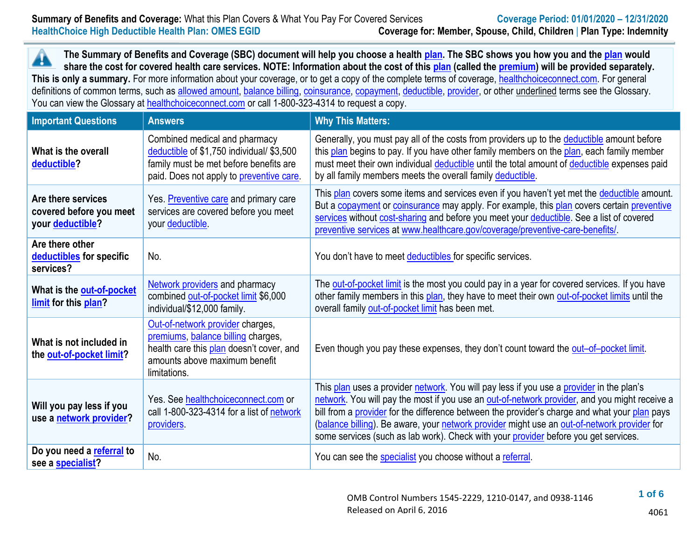**The Summary of Benefits and Coverage (SBC) document will help you choose a health [plan.](https://www.healthcare.gov/sbc-glossary/#plan) The SBC shows you how you and th[e plan](https://www.healthcare.gov/sbc-glossary/#plan) would** ▲ **share the cost for covered health care services. NOTE: Information about the cost of this [plan](https://www.healthcare.gov/sbc-glossary/#plan) (called the [premium\)](https://www.healthcare.gov/sbc-glossary/#premium) will be provided separately.** This is only a summary. For more information about your coverage, or to get a copy of the complete terms of coverage, [healthchoiceconnect.com.](http://www.healthchoiceconnect.com/) For general definitions of common terms, such as [allowed amount,](https://www.healthcare.gov/sbc-glossary/#allowed-amount) [balance billing,](https://www.healthcare.gov/sbc-glossary/#balance-billing) [coinsurance,](https://www.healthcare.gov/sbc-glossary/#coinsurance) [copayment,](https://www.healthcare.gov/sbc-glossary/#copayment) [deductible,](https://www.healthcare.gov/sbc-glossary/#deductible) [provider,](https://www.healthcare.gov/sbc-glossary/#provider) or other underlined terms see the Glossary. You can view the Glossary at healthchoice connect.com or call 1-800-323-4314 to request a copy.

| <b>Important Questions</b>                                        | <b>Answers</b>                                                                                                                                                      | <b>Why This Matters:</b>                                                                                                                                                                                                                                                                                                                                                                                                                                                         |
|-------------------------------------------------------------------|---------------------------------------------------------------------------------------------------------------------------------------------------------------------|----------------------------------------------------------------------------------------------------------------------------------------------------------------------------------------------------------------------------------------------------------------------------------------------------------------------------------------------------------------------------------------------------------------------------------------------------------------------------------|
| What is the overall<br>deductible?                                | Combined medical and pharmacy<br>deductible of \$1,750 individual/ \$3,500<br>family must be met before benefits are<br>paid. Does not apply to preventive care.    | Generally, you must pay all of the costs from providers up to the deductible amount before<br>this plan begins to pay. If you have other family members on the plan, each family member<br>must meet their own individual deductible until the total amount of deductible expenses paid<br>by all family members meets the overall family deductible.                                                                                                                            |
| Are there services<br>covered before you meet<br>your deductible? | Yes. Preventive care and primary care<br>services are covered before you meet<br>your deductible                                                                    | This plan covers some items and services even if you haven't yet met the deductible amount.<br>But a copayment or coinsurance may apply. For example, this plan covers certain preventive<br>services without cost-sharing and before you meet your deductible. See a list of covered<br>preventive services at www.healthcare.gov/coverage/preventive-care-benefits/                                                                                                            |
| Are there other<br>deductibles for specific<br>services?          | No.                                                                                                                                                                 | You don't have to meet deductibles for specific services.                                                                                                                                                                                                                                                                                                                                                                                                                        |
| What is the out-of-pocket<br>limit for this plan?                 | <b>Network providers and pharmacy</b><br>combined out-of-pocket limit \$6,000<br>individual/\$12,000 family.                                                        | The out-of-pocket limit is the most you could pay in a year for covered services. If you have<br>other family members in this plan, they have to meet their own out-of-pocket limits until the<br>overall family out-of-pocket limit has been met.                                                                                                                                                                                                                               |
| What is not included in<br>the out-of-pocket limit?               | Out-of-network provider charges,<br>premiums, balance billing charges,<br>health care this plan doesn't cover, and<br>amounts above maximum benefit<br>limitations. | Even though you pay these expenses, they don't count toward the out-of-pocket limit.                                                                                                                                                                                                                                                                                                                                                                                             |
| Will you pay less if you<br>use a network provider?               | Yes. See healthchoiceconnect.com or<br>call 1-800-323-4314 for a list of network<br>providers.                                                                      | This plan uses a provider network. You will pay less if you use a provider in the plan's<br>network. You will pay the most if you use an out-of-network provider, and you might receive a<br>bill from a provider for the difference between the provider's charge and what your plan pays<br>(balance billing). Be aware, your network provider might use an out-of-network provider for<br>some services (such as lab work). Check with your provider before you get services. |
| Do you need a referral to<br>see a specialist?                    | No.                                                                                                                                                                 | You can see the specialist you choose without a referral.                                                                                                                                                                                                                                                                                                                                                                                                                        |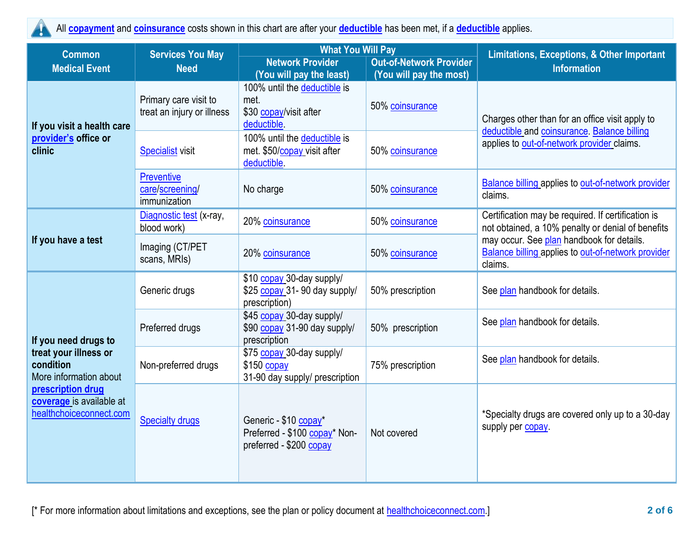All **[copayment](https://www.healthcare.gov/sbc-glossary/#copayment)** and **[coinsurance](https://www.healthcare.gov/sbc-glossary/#coinsurance)** costs shown in this chart are after your **[deductible](https://www.healthcare.gov/sbc-glossary/#deductible)** has been met, if a **[deductible](https://www.healthcare.gov/sbc-glossary/#deductible)** applies. Y

| <b>Common</b>                                                            | <b>Services You May</b><br><b>Need</b>               | <b>What You Will Pay</b>                                                                                  |                                            | <b>Limitations, Exceptions, &amp; Other Important</b>                                                      |  |
|--------------------------------------------------------------------------|------------------------------------------------------|-----------------------------------------------------------------------------------------------------------|--------------------------------------------|------------------------------------------------------------------------------------------------------------|--|
| <b>Medical Event</b>                                                     |                                                      | <b>Network Provider</b>                                                                                   | <b>Out-of-Network Provider</b>             | <b>Information</b>                                                                                         |  |
| If you visit a health care                                               | Primary care visit to<br>treat an injury or illness  | (You will pay the least)<br>100% until the deductible is<br>met.<br>\$30 copay/visit after<br>deductible. | (You will pay the most)<br>50% coinsurance | Charges other than for an office visit apply to                                                            |  |
| provider's office or<br>clinic                                           | <b>Specialist visit</b>                              | 100% until the deductible is<br>met. \$50/ <b>copay</b> visit after<br>deductible.                        | 50% coinsurance                            | deductible and coinsurance. Balance billing<br>applies to out-of-network provider claims.                  |  |
|                                                                          | <b>Preventive</b><br>care/screening/<br>immunization | No charge                                                                                                 | 50% coinsurance                            | Balance billing applies to out-of-network provider<br>claims.                                              |  |
|                                                                          | Diagnostic test (x-ray,<br>blood work)               | 20% coinsurance                                                                                           | 50% coinsurance                            | Certification may be required. If certification is<br>not obtained, a 10% penalty or denial of benefits    |  |
| If you have a test                                                       | Imaging (CT/PET<br>scans, MRIs)                      | 20% coinsurance                                                                                           | 50% coinsurance                            | may occur. See plan handbook for details.<br>Balance billing applies to out-of-network provider<br>claims. |  |
|                                                                          | Generic drugs                                        | \$10 copay 30-day supply/<br>\$25 copay 31- 90 day supply/<br>prescription)                               | 50% prescription                           | See plan handbook for details.                                                                             |  |
| If you need drugs to                                                     | Preferred drugs                                      | \$45 copay 30-day supply/<br>\$90 copay 31-90 day supply/<br>prescription                                 | 50% prescription                           | See plan handbook for details.                                                                             |  |
| treat your illness or<br>condition<br>More information about             | Non-preferred drugs                                  | \$75 copay 30-day supply/<br>\$150 copay<br>31-90 day supply/ prescription                                | 75% prescription                           | See plan handbook for details.                                                                             |  |
| prescription drug<br>coverage is available at<br>healthchoiceconnect.com | <b>Specialty drugs</b>                               | Generic - \$10 copay*<br>Preferred - \$100 copay* Non-<br>preferred - \$200 copay                         | Not covered                                | *Specialty drugs are covered only up to a 30-day<br>supply per copay.                                      |  |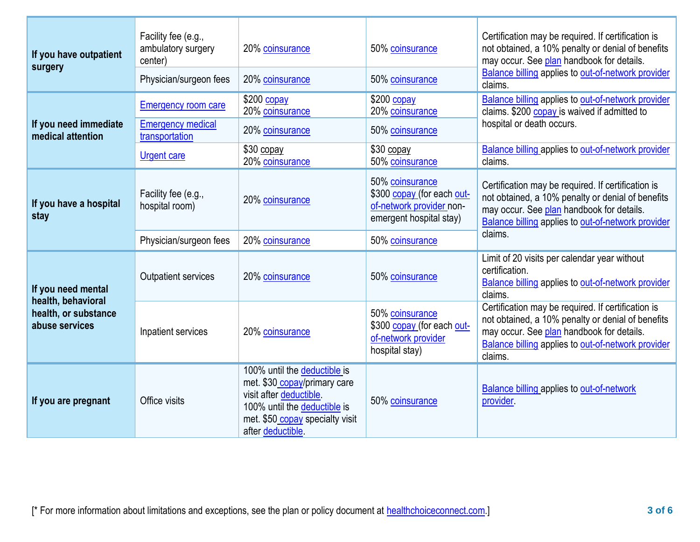| If you have outpatient<br>surgery                            | Facility fee (e.g.,<br>ambulatory surgery<br>center)<br>Physician/surgeon fees          | 20% coinsurance<br>20% coinsurance                                                                                                                                              | 50% coinsurance<br>50% coinsurance                                                                                      | Certification may be required. If certification is<br>not obtained, a 10% penalty or denial of benefits<br>may occur. See plan handbook for details.<br>Balance billing applies to out-of-network provider<br>claims.        |
|--------------------------------------------------------------|-----------------------------------------------------------------------------------------|---------------------------------------------------------------------------------------------------------------------------------------------------------------------------------|-------------------------------------------------------------------------------------------------------------------------|------------------------------------------------------------------------------------------------------------------------------------------------------------------------------------------------------------------------------|
| If you need immediate<br>medical attention                   | <b>Emergency room care</b><br><b>Emergency medical</b><br>transportation<br>Urgent care | \$200 copay<br>20% coinsurance<br>20% coinsurance<br>$$30$ copay<br>20% coinsurance                                                                                             | $$200$ copay<br>20% coinsurance<br>50% coinsurance<br>$$30$ copay<br>50% coinsurance                                    | Balance billing applies to out-of-network provider<br>claims. \$200 copay is waived if admitted to<br>hospital or death occurs.<br>Balance billing applies to out-of-network provider<br>claims.                             |
| If you have a hospital<br>stay                               | Facility fee (e.g.,<br>hospital room)<br>Physician/surgeon fees                         | 20% coinsurance<br>20% coinsurance                                                                                                                                              | 50% coinsurance<br>\$300 copay (for each out-<br>of-network provider non-<br>emergent hospital stay)<br>50% coinsurance | Certification may be required. If certification is<br>not obtained, a 10% penalty or denial of benefits<br>may occur. See plan handbook for details.<br><b>Balance billing applies to out-of-network provider</b><br>claims. |
| If you need mental                                           | <b>Outpatient services</b>                                                              | 20% coinsurance                                                                                                                                                                 | 50% coinsurance                                                                                                         | Limit of 20 visits per calendar year without<br>certification.<br><b>Balance billing applies to out-of-network provider</b><br>claims.                                                                                       |
| health, behavioral<br>health, or substance<br>abuse services | Inpatient services                                                                      | 20% coinsurance                                                                                                                                                                 | 50% coinsurance<br>\$300 copay (for each out-<br>of-network provider<br>hospital stay)                                  | Certification may be required. If certification is<br>not obtained, a 10% penalty or denial of benefits<br>may occur. See plan handbook for details.<br>Balance billing applies to out-of-network provider<br>claims.        |
| If you are pregnant                                          | Office visits                                                                           | 100% until the deductible is<br>met. \$30 copay/primary care<br>visit after deductible.<br>100% until the deductible is<br>met. \$50 copay specialty visit<br>after deductible. | 50% coinsurance                                                                                                         | <b>Balance billing applies to out-of-network</b><br>provider.                                                                                                                                                                |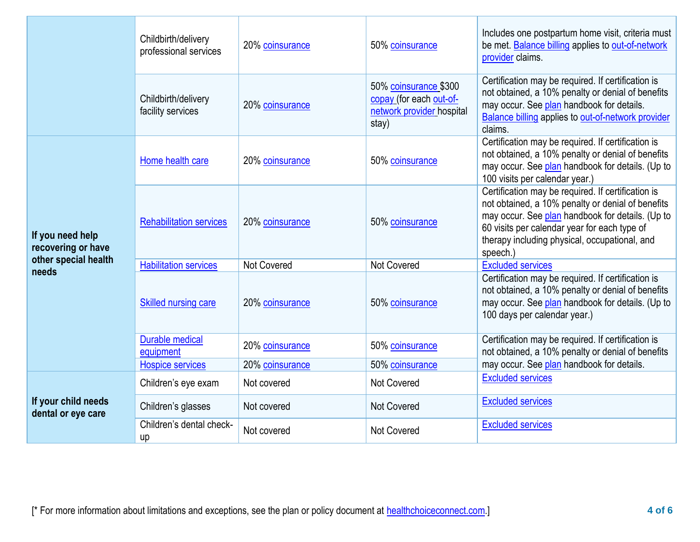|                                           | Childbirth/delivery<br>professional services | 20% coinsurance                    | 50% coinsurance                                                                        | Includes one postpartum home visit, criteria must<br>be met. Balance billing applies to out-of-network<br>provider claims.                                                                                                                                               |  |
|-------------------------------------------|----------------------------------------------|------------------------------------|----------------------------------------------------------------------------------------|--------------------------------------------------------------------------------------------------------------------------------------------------------------------------------------------------------------------------------------------------------------------------|--|
|                                           | Childbirth/delivery<br>facility services     | 20% coinsurance                    | 50% coinsurance \$300<br>copay (for each out-of-<br>network provider hospital<br>stay) | Certification may be required. If certification is<br>not obtained, a 10% penalty or denial of benefits<br>may occur. See plan handbook for details.<br><b>Balance billing applies to out-of-network provider</b><br>claims.                                             |  |
|                                           | Home health care                             | 20% coinsurance                    | 50% coinsurance                                                                        | Certification may be required. If certification is<br>not obtained, a 10% penalty or denial of benefits<br>may occur. See plan handbook for details. (Up to<br>100 visits per calendar year.)                                                                            |  |
| If you need help<br>recovering or have    | <b>Rehabilitation services</b>               | 20% coinsurance                    | 50% coinsurance                                                                        | Certification may be required. If certification is<br>not obtained, a 10% penalty or denial of benefits<br>may occur. See plan handbook for details. (Up to<br>60 visits per calendar year for each type of<br>therapy including physical, occupational, and<br>speech.) |  |
| other special health                      | <b>Habilitation services</b>                 | Not Covered                        | <b>Not Covered</b>                                                                     | <b>Excluded services</b>                                                                                                                                                                                                                                                 |  |
| needs                                     | <b>Skilled nursing care</b>                  | 20% coinsurance                    | 50% coinsurance                                                                        | Certification may be required. If certification is<br>not obtained, a 10% penalty or denial of benefits<br>may occur. See plan handbook for details. (Up to<br>100 days per calendar year.)                                                                              |  |
|                                           | <b>Durable medical</b><br>equipment          | 20% coinsurance                    | 50% coinsurance                                                                        | Certification may be required. If certification is<br>not obtained, a 10% penalty or denial of benefits                                                                                                                                                                  |  |
|                                           | <b>Hospice services</b>                      | 20% coinsurance<br>50% coinsurance |                                                                                        | may occur. See plan handbook for details.                                                                                                                                                                                                                                |  |
|                                           | Children's eye exam                          | Not covered                        | <b>Not Covered</b>                                                                     | <b>Excluded services</b>                                                                                                                                                                                                                                                 |  |
| If your child needs<br>dental or eye care | Children's glasses                           | Not covered                        | <b>Not Covered</b>                                                                     | <b>Excluded services</b>                                                                                                                                                                                                                                                 |  |
|                                           | Children's dental check-<br>up               | Not covered                        | Not Covered                                                                            | <b>Excluded services</b>                                                                                                                                                                                                                                                 |  |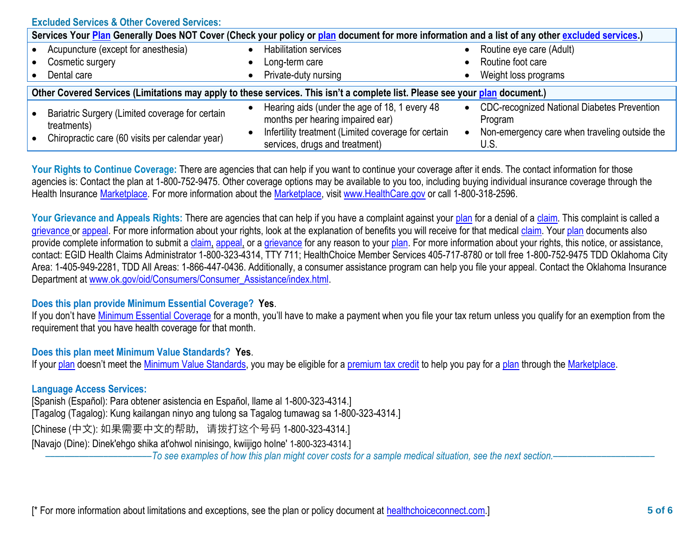| <b>Excluded Services &amp; Other Covered Services:</b>                                                                                           |  |                                                                                       |           |                                                               |  |
|--------------------------------------------------------------------------------------------------------------------------------------------------|--|---------------------------------------------------------------------------------------|-----------|---------------------------------------------------------------|--|
| Services Your Plan Generally Does NOT Cover (Check your policy or plan document for more information and a list of any other excluded services.) |  |                                                                                       |           |                                                               |  |
| • Acupuncture (except for anesthesia)                                                                                                            |  | <b>Habilitation services</b>                                                          |           | Routine eye care (Adult)                                      |  |
| • Cosmetic surgery                                                                                                                               |  | Long-term care                                                                        |           | Routine foot care                                             |  |
| • Dental care                                                                                                                                    |  | Private-duty nursing                                                                  |           | Weight loss programs                                          |  |
| Other Covered Services (Limitations may apply to these services. This isn't a complete list. Please see your plan document.)                     |  |                                                                                       |           |                                                               |  |
| • Bariatric Surgery (Limited coverage for certain<br>treatments)                                                                                 |  | Hearing aids (under the age of 18, 1 every 48<br>months per hearing impaired ear)     | $\bullet$ | <b>CDC-recognized National Diabetes Prevention</b><br>Program |  |
| • Chiropractic care (60 visits per calendar year)                                                                                                |  | Infertility treatment (Limited coverage for certain<br>services, drugs and treatment) |           | Non-emergency care when traveling outside the<br>U.S.         |  |

Your Rights to Continue Coverage: There are agencies that can help if you want to continue your coverage after it ends. The contact information for those agencies is: Contact the plan at 1-800-752-9475. Other coverage options may be available to you too, including buying individual insurance coverage through the Health Insurance [Marketplace.](https://www.healthcare.gov/sbc-glossary/#marketplace) For more information about the [Marketplace,](https://www.healthcare.gov/sbc-glossary/#marketplace) visit [www.HealthCare.gov](http://www.healthcare.gov/) or call 1-800-318-2596.

Your Grievance and Appeals Rights: There are agencies that can help if you have a complaint against your [plan](https://www.healthcare.gov/sbc-glossary/#plan) for a denial of a [claim.](https://www.healthcare.gov/sbc-glossary/#claim) This complaint is called a [grievance](https://www.healthcare.gov/sbc-glossary/#grievance) or [appeal.](https://www.healthcare.gov/sbc-glossary/#appeal) For more information about your rights, look at the explanation of benefits you will receive for that medical [claim.](https://www.healthcare.gov/sbc-glossary/#claim) Your [plan](https://www.healthcare.gov/sbc-glossary/#plan) documents also provide complete information to submit a [claim,](https://www.healthcare.gov/sbc-glossary/#claim) [appeal,](https://www.healthcare.gov/sbc-glossary/#appeal) or a [grievance](https://www.healthcare.gov/sbc-glossary/#grievance) for any reason to your [plan.](https://www.healthcare.gov/sbc-glossary/#plan) For more information about your rights, this notice, or assistance, contact: EGID Health Claims Administrator 1-800-323-4314, TTY 711; HealthChoice Member Services 405-717-8780 or toll free 1-800-752-9475 TDD Oklahoma City Area: 1-405-949-2281, TDD All Areas: 1-866-447-0436. Additionally, a consumer assistance program can help you file your appeal. Contact the Oklahoma Insurance Department at [www.ok.gov/oid/Consumers/Consumer\\_Assistance/index.html.](http://www.ok.gov/oid/Consumers/Consumer_Assistance/index.html)

## **Does this plan provide Minimum Essential Coverage? Yes**.

If you don't have [Minimum Essential Coverage](https://www.healthcare.gov/sbc-glossary/#minimum-essential-coverage) for a month, you'll have to make a payment when you file your tax return unless you qualify for an exemption from the requirement that you have health coverage for that month.

## **Does this plan meet Minimum Value Standards? Yes**.

If your [plan](https://www.healthcare.gov/sbc-glossary/#plan) doesn't meet the [Minimum Value Standards,](https://www.healthcare.gov/sbc-glossary/#minimum-value-standard) you may be eligible for a [premium tax credit](https://www.healthcare.gov/sbc-glossary/#premium-tax-credits) to help you pay for a plan through the [Marketplace.](https://www.healthcare.gov/sbc-glossary/#marketplace)

## **Language Access Services:**

[Spanish (Español): Para obtener asistencia en Español, llame al 1-800-323-4314.] [Tagalog (Tagalog): Kung kailangan ninyo ang tulong sa Tagalog tumawag sa 1-800-323-4314.] [Chinese (中文): 如果需要中文的帮助, 请拨打这个号码 1-800-323-4314.] [Navajo (Dine): Dinek'ehgo shika at'ohwol ninisingo, kwiijigo holne' 1-800-323-4314.]

––––––––––––––––––––––*To see examples of how this plan might cover costs for a sample medical situation, see the next section.–––––––––––*––––––––––